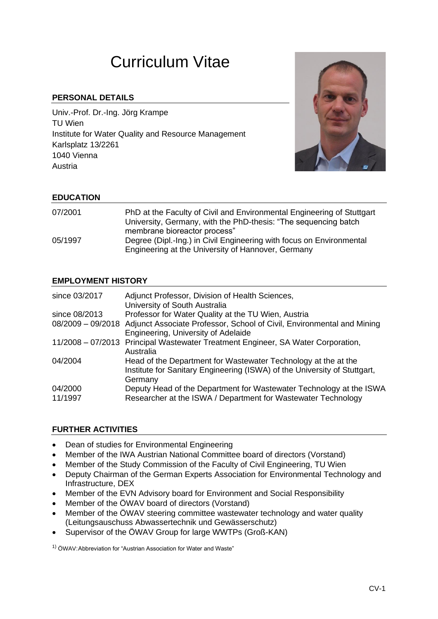# Curriculum Vitae

## **PERSONAL DETAILS**

Univ.-Prof. Dr.-Ing. Jörg Krampe TU Wien Institute for Water Quality and Resource Management Karlsplatz 13/2261 1040 Vienna Austria



### **EDUCATION**

| 07/2001 | PhD at the Faculty of Civil and Environmental Engineering of Stuttgart<br>University, Germany, with the PhD-thesis: "The sequencing batch |
|---------|-------------------------------------------------------------------------------------------------------------------------------------------|
|         | membrane bioreactor process"                                                                                                              |
| 05/1997 | Degree (Dipl.-Ing.) in Civil Engineering with focus on Environmental                                                                      |
|         | Engineering at the University of Hannover, Germany                                                                                        |

### **EMPLOYMENT HISTORY**

| since 03/2017      | Adjunct Professor, Division of Health Sciences,<br>University of South Australia                                                                       |
|--------------------|--------------------------------------------------------------------------------------------------------------------------------------------------------|
| since 08/2013      | Professor for Water Quality at the TU Wien, Austria                                                                                                    |
|                    | 08/2009 - 09/2018 Adjunct Associate Professor, School of Civil, Environmental and Mining<br>Engineering, University of Adelaide                        |
|                    | 11/2008 - 07/2013 Principal Wastewater Treatment Engineer, SA Water Corporation,<br>Australia                                                          |
| 04/2004            | Head of the Department for Wastewater Technology at the at the<br>Institute for Sanitary Engineering (ISWA) of the University of Stuttgart,<br>Germany |
| 04/2000<br>11/1997 | Deputy Head of the Department for Wastewater Technology at the ISWA<br>Researcher at the ISWA / Department for Wastewater Technology                   |

#### **FURTHER ACTIVITIES**

- Dean of studies for Environmental Engineering
- Member of the IWA Austrian National Committee board of directors (Vorstand)
- Member of the Study Commission of the Faculty of Civil Engineering, TU Wien
- Deputy Chairman of the German Experts Association for Environmental Technology and Infrastructure, DEX
- Member of the EVN Advisory board for Environment and Social Responsibility
- Member of the ÖWAV board of directors (Vorstand)
- Member of the ÖWAV steering committee wastewater technology and water quality (Leitungsauschuss Abwassertechnik und Gewässerschutz)
- Supervisor of the ÖWAV Group for large WWTPs (Groß-KAN)

1) ÖWAV:Abbreviation for "Austrian Association for Water and Waste"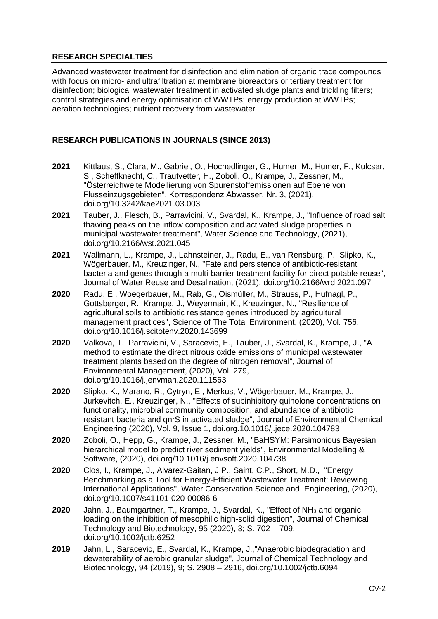## **RESEARCH SPECIALTIES**

Advanced wastewater treatment for disinfection and elimination of organic trace compounds with focus on micro- and ultrafiltration at membrane bioreactors or tertiary treatment for disinfection; biological wastewater treatment in activated sludge plants and trickling filters; control strategies and energy optimisation of WWTPs; energy production at WWTPs; aeration technologies; nutrient recovery from wastewater

## **RESEARCH PUBLICATIONS IN JOURNALS (SINCE 2013)**

- **2021** Kittlaus, S., Clara, M., Gabriel, O., Hochedlinger, G., Humer, M., Humer, F., Kulcsar, S., Scheffknecht, C., Trautvetter, H., Zoboli, O., Krampe, J., Zessner, M., "Österreichweite Modellierung von Spurenstoffemissionen auf Ebene von Flusseinzugsgebieten", Korrespondenz Abwasser, Nr. 3, (2021), doi.org/10.3242/kae2021.03.003
- **2021** Tauber, J., Flesch, B., Parravicini, V., Svardal, K., Krampe, J., "Influence of road salt thawing peaks on the inflow composition and activated sludge properties in municipal wastewater treatment", Water Science and Technology, (2021), doi.org/10.2166/wst.2021.045
- **2021** Wallmann, L., Krampe, J., Lahnsteiner, J., Radu, E., van Rensburg, P., Slipko, K., Wögerbauer, M., Kreuzinger, N., "Fate and persistence of antibiotic-resistant bacteria and genes through a multi-barrier treatment facility for direct potable reuse", Journal of Water Reuse and Desalination, (2021), doi.org/10.2166/wrd.2021.097
- **2020** Radu, E., Woegerbauer, M., Rab, G., Oismüller, M., Strauss, P., Hufnagl, P., Gottsberger, R., Krampe, J., Weyermair, K., Kreuzinger, N., "Resilience of agricultural soils to antibiotic resistance genes introduced by agricultural management practices", Science of The Total Environment, (2020), Vol. 756, doi.org/10.1016/j.scitotenv.2020.143699
- **2020** Valkova, T., Parravicini, V., Saracevic, E., Tauber, J., Svardal, K., Krampe, J., "A method to estimate the direct nitrous oxide emissions of municipal wastewater treatment plants based on the degree of nitrogen removal", Journal of Environmental Management, (2020), Vol. 279, doi.org/10.1016/j.jenvman.2020.111563
- **2020** Slipko, K., Marano, R., Cytryn, E., Merkus, V., Wögerbauer, M., Krampe, J., Jurkevitch, E., Kreuzinger, N., "Effects of subinhibitory quinolone concentrations on functionality, microbial community composition, and abundance of antibiotic resistant bacteria and qnrS in activated sludge", Journal of Environmental Chemical Engineering (2020), Vol. 9, Issue 1, doi.org.10.1016/j.jece.2020.104783
- **2020** Zoboli, O., Hepp, G., Krampe, J., Zessner, M., "BaHSYM: Parsimonious Bayesian hierarchical model to predict river sediment yields", Environmental Modelling & Software, (2020), doi.org/10.1016/j.envsoft.2020.104738
- **2020** Clos, I., Krampe, J., Alvarez-Gaitan, J.P., Saint, C.P., Short, M.D., "Energy Benchmarking as a Tool for Energy-Efficient Wastewater Treatment: Reviewing International Applications", Water Conservation Science and Engineering, (2020), doi.org/10.1007/s41101-020-00086-6
- **2020** Jahn, J., Baumgartner, T., Krampe, J., Svardal, K., ["Effect of NH](http://dx.doi.org/10.1002/jctb.6252)<sub>3</sub> and organic [loading on the inhibition of mesophilic high-solid digestion"](http://dx.doi.org/10.1002/jctb.6252), Journal of Chemical Technology and Biotechnology, 95 (2020), 3; S. 702 – 709, doi.org[/10.1002/jctb.6252](https://doi.org/10.1002/jctb.6252)
- **2019** Jahn, L., Saracevic, E., Svardal, K., Krampe, J.,["Anaerobic biodegradation and](http://dx.doi.org/10.1002/jctb.6094)  [dewaterability of aerobic granular sludge"](http://dx.doi.org/10.1002/jctb.6094), Journal of Chemical Technology and Biotechnology, 94 (2019), 9; S. 2908 – 2916, doi.org[/10.1002/jctb.6094](https://doi.org/10.1002/jctb.6094)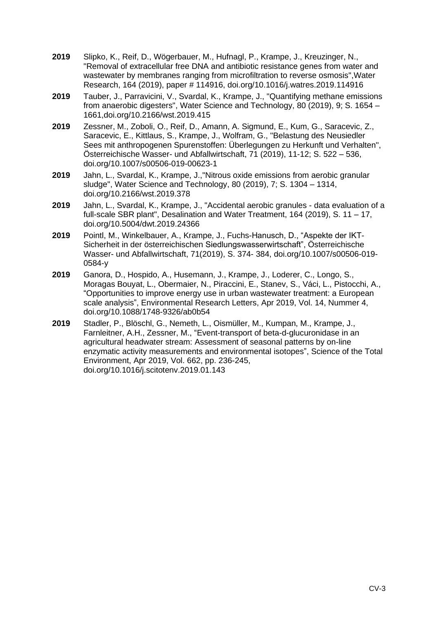- **2019** Slipko, K., Reif, D., Wögerbauer, M., Hufnagl, P., Krampe, J., Kreuzinger, N., ["Removal of extracellular free DNA and antibiotic resistance genes from water and](http://dx.doi.org/10.1016/j.watres.2019.114916)  [wastewater by membranes ranging from microfiltration to reverse osmosis"](http://dx.doi.org/10.1016/j.watres.2019.114916),Water Research, 164 (2019), paper # 114916, doi.org[/10.1016/j.watres.2019.114916](https://doi.org/10.1016/j.watres.2019.114916)
- **2019** Tauber, J., Parravicini, V., Svardal, K., Krampe, J., "Quantifying methane emissions from anaerobic digesters", Water Science and Technology, 80 (2019), 9; S. 1654 – 1661,doi.org[/10.2166/wst.2019.415](https://doi.org/10.2166/wst.2019.415)
- **2019** Zessner, M., Zoboli, O., Reif, D., Amann, A. Sigmund, E., Kum, G., Saracevic, Z., Saracevic, E., Kittlaus, S., Krampe, J., Wolfram, G., ["Belastung des Neusiedler](http://dx.doi.org/10.1007/s00506-019-00623-1)  [Sees mit anthropogenen Spurenstoffen: Überlegungen zu Herkunft und Verhalten"](http://dx.doi.org/10.1007/s00506-019-00623-1), Österreichische Wasser- und Abfallwirtschaft, 71 (2019), 11-12; S. 522 – 536, doi.org[/10.1007/s00506-019-00623-1](https://doi.org/10.1007/s00506-019-00623-1)
- **2019** Jahn, L., Svardal, K., Krampe, J.,["Nitrous oxide emissions from aerobic granular](http://dx.doi.org/10.2166/wst.2019.378)  [sludge"](http://dx.doi.org/10.2166/wst.2019.378), Water Science and Technology, 80 (2019), 7; S. 1304 – 1314, doi.org[/10.2166/wst.2019.378](https://doi.org/10.2166/wst.2019.378)
- **2019** Jahn, L., Svardal, K., Krampe, J., "Accidental aerobic granules data evaluation of a full-scale SBR plant", Desalination and Water Treatment, 164 (2019), S. 11 – 17, doi.org[/10.5004/dwt.2019.24366](https://doi.org/10.5004/dwt.2019.24366)
- **2019** Pointl, M., Winkelbauer, A., Krampe, J., Fuchs-Hanusch, D., "Aspekte der IKT-Sicherheit in der österreichischen Siedlungswasserwirtschaft", Österreichische Wasser- und Abfallwirtschaft, 71(2019), S. 374- 384, doi.org/10.1007/s00506-019- 0584-y
- **2019** Ganora, D., Hospido, A., Husemann, J., Krampe, J., Loderer, C., Longo, S., Moragas Bouyat, L., Obermaier, N., Piraccini, E., Stanev, S., Váci, L., Pistocchi, A., "Opportunities to improve energy use in urban wastewater treatment: a European scale analysis", Environmental Research Letters, Apr 2019, Vol. 14, Nummer 4, doi.org/10.1088/1748-9326/ab0b54
- **2019** Stadler, P., Blöschl, G., Nemeth, L., Oismüller, M., Kumpan, M., Krampe, J., Farnleitner, A.H., Zessner, M., "Event-transport of beta-d-glucuronidase in an agricultural headwater stream: Assessment of seasonal patterns by on-line enzymatic activity measurements and environmental isotopes", Science of the Total Environment, Apr 2019, Vol. 662, pp. 236-245, doi.org/10.1016/j.scitotenv.2019.01.143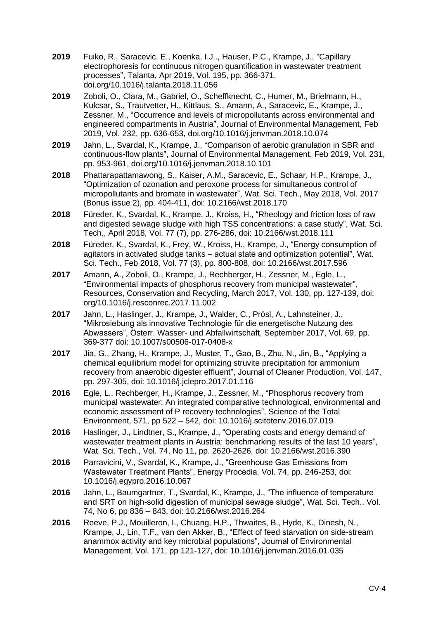- **2019** Fuiko, R., Saracevic, E., Koenka, I.J.., Hauser, P.C., Krampe, J., "Capillary electrophoresis for continuous nitrogen quantification in wastewater treatment processes", Talanta, Apr 2019, Vol. 195, pp. 366-371, doi.org/10.1016/j.talanta.2018.11.056
- **2019** Zoboli, O., Clara, M., Gabriel, O., Scheffknecht, C., Humer, M., Brielmann, H., Kulcsar, S., Trautvetter, H., Kittlaus, S., Amann, A., Saracevic, E., Krampe, J., Zessner, M., "Occurrence and levels of micropollutants across environmental and engineered compartments in Austria", Journal of Environmental Management, Feb 2019, Vol. 232, pp. 636-653, doi.org/10.1016/j.jenvman.2018.10.074
- **2019** Jahn, L., Svardal, K., Krampe, J., "Comparison of aerobic granulation in SBR and continuous-flow plants", Journal of Environmental Management, Feb 2019, Vol. 231, pp. 953-961, doi.org/10.1016/j.jenvman.2018.10.101
- **2018** Phattarapattamawong, S., Kaiser, A.M., Saracevic, E., Schaar, H.P., Krampe, J., "Optimization of ozonation and peroxone process for simultaneous control of micropollutants and bromate in wastewater", Wat. Sci. Tech., May 2018, Vol. 2017 (Bonus issue 2), pp. 404-411, doi: 10.2166/wst.2018.170
- **2018** Füreder, K., Svardal, K., Krampe, J., Kroiss, H., "Rheology and friction loss of raw and digested sewage sludge with high TSS concentrations: a case study", Wat. Sci. Tech., April 2018, Vol. 77 (7), pp. 276-286, doi: 10.2166/wst.2018.111
- **2018** Füreder, K., Svardal, K., Frey, W., Kroiss, H., Krampe, J., "Energy consumption of agitators in activated sludge tanks – actual state and optimization potential", Wat. Sci. Tech., Feb 2018, Vol. 77 (3), pp. 800-808, doi: 10.2166/wst.2017.596
- **2017** Amann, A., Zoboli, O., Krampe, J., Rechberger, H., Zessner, M., Egle, L., "Environmental impacts of phosphorus recovery from municipal wastewater", Resources, Conservation and Recycling, March 2017, Vol. 130, pp. 127-139, doi: org/10.1016/j.resconrec.2017.11.002
- **2017** Jahn, L., Haslinger, J., Krampe, J., Walder, C., Prösl, A., Lahnsteiner, J., "Mikrosiebung als innovative Technologie für die energetische Nutzung des Abwassers", Österr. Wasser- und Abfallwirtschaft, September 2017, Vol. 69, pp. 369-377 doi: 10.1007/s00506-017-0408-x
- **2017** Jia, G., Zhang, H., Krampe, J., Muster, T., Gao, B., Zhu, N., Jin, B., "Applying a chemical equilibrium model for optimizing struvite precipitation for ammonium recovery from anaerobic digester effluent", Journal of Cleaner Production, Vol. 147, pp. 297-305, doi: [10.1016/j.jclepro.2017.01.116](http://dx.doi.org/10.1016/j.jclepro.2017.01.116)
- **2016** Egle, L., Rechberger, H., Krampe, J., Zessner, M., ["Phosphorus recovery from](http://dx.doi.org/10.1016/j.scitotenv.2016.07.019)  [municipal wastewater: An integrated comparative technological, environmental and](http://dx.doi.org/10.1016/j.scitotenv.2016.07.019)  [economic assessment of P recovery technologies"](http://dx.doi.org/10.1016/j.scitotenv.2016.07.019), Science of the Total Environment, 571, pp 522 – 542, doi: [10.1016/j.scitotenv.2016.07.019](http://dx.doi.org/10.1016/j.scitotenv.2016.07.019)
- **2016** Haslinger, J., Lindtner, S., Krampe, J., "Operating costs and energy demand of wastewater treatment plants in Austria: benchmarking results of the last 10 years", Wat. Sci. Tech., Vol. 74, No 11, pp. 2620-2626, doi: 10.2166/wst.2016.390
- **2016** Parravicini, V., Svardal, K., Krampe, J., "Greenhouse Gas Emissions from Wastewater Treatment Plants", Energy Procedia, Vol. 74, pp. 246-253, doi: 10.1016/j.egypro.2016.10.067
- **2016** Jahn, L., Baumgartner, T., Svardal, K., Krampe, J., "The influence of temperature and SRT on high-solid digestion of municipal sewage sludge", Wat. Sci. Tech., Vol. 74, No 6, pp 836 – 843, doi: 10.2166/wst.2016.264
- **2016** Reeve, P.J., Mouilleron, I., Chuang, H.P., Thwaites, B., Hyde, K., Dinesh, N., Krampe, J., Lin, T.F., van den Akker, B., "Effect of feed starvation on side-stream anammox activity and key microbial populations", Journal of Environmental Management, Vol. 171, pp 121-127, doi: 10.1016/j.jenvman.2016.01.035